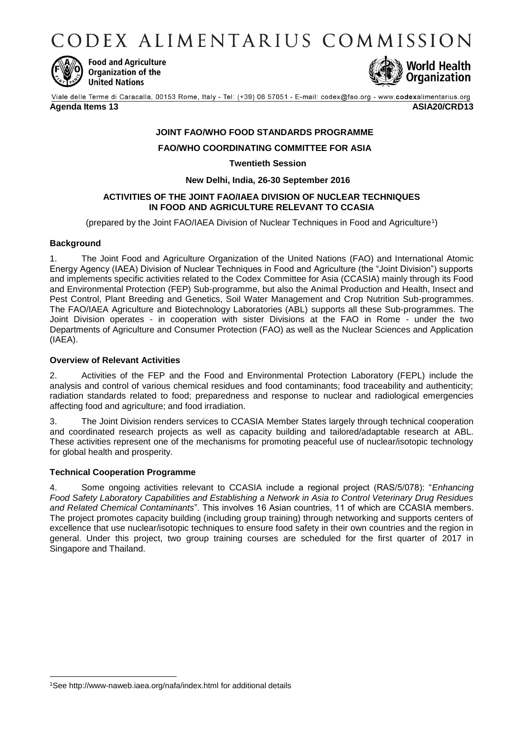CODEX ALIMENTARIUS COMMISSION



**Food and Agriculture** Organization of the **United Nations** 



Viale delle Terme di Caracalla, 00153 Rome, Italy - Tel: (+39) 06 57051 - E-mail: codex@fao.org - www.codexalimentarius.org **Agenda Items 13 ASIA20/CRD13**

# **JOINT FAO/WHO FOOD STANDARDS PROGRAMME**

### **FAO/WHO COORDINATING COMMITTEE FOR ASIA**

**Twentieth Session**

#### **New Delhi, India, 26-30 September 2016**

### **ACTIVITIES OF THE JOINT FAO/IAEA DIVISION OF NUCLEAR TECHNIQUES IN FOOD AND AGRICULTURE RELEVANT TO CCASIA**

(prepared by the Joint FAO/IAEA Division of Nuclear Techniques in Food and Agriculture<sup>1</sup> )

### **Background**

-

1. The Joint Food and Agriculture Organization of the United Nations (FAO) and International Atomic Energy Agency (IAEA) Division of Nuclear Techniques in Food and Agriculture (the "Joint Division") supports and implements specific activities related to the Codex Committee for Asia (CCASIA) mainly through its Food and Environmental Protection (FEP) Sub-programme, but also the Animal Production and Health, Insect and Pest Control, Plant Breeding and Genetics, Soil Water Management and Crop Nutrition Sub-programmes. The FAO/IAEA Agriculture and Biotechnology Laboratories (ABL) supports all these Sub-programmes. The Joint Division operates - in cooperation with sister Divisions at the FAO in Rome - under the two Departments of Agriculture and Consumer Protection (FAO) as well as the Nuclear Sciences and Application (IAEA).

### **Overview of Relevant Activities**

2. Activities of the FEP and the Food and Environmental Protection Laboratory (FEPL) include the analysis and control of various chemical residues and food contaminants; food traceability and authenticity; radiation standards related to food; preparedness and response to nuclear and radiological emergencies affecting food and agriculture; and food irradiation.

3. The Joint Division renders services to CCASIA Member States largely through technical cooperation and coordinated research projects as well as capacity building and tailored/adaptable research at ABL. These activities represent one of the mechanisms for promoting peaceful use of nuclear/isotopic technology for global health and prosperity.

## **Technical Cooperation Programme**

4. Some ongoing activities relevant to CCASIA include a regional project (RAS/5/078): "*Enhancing Food Safety Laboratory Capabilities and Establishing a Network in Asia to Control Veterinary Drug Residues and Related Chemical Contaminants*". This involves 16 Asian countries, 11 of which are CCASIA members. The project promotes capacity building (including group training) through networking and supports centers of excellence that use nuclear/isotopic techniques to ensure food safety in their own countries and the region in general. Under this project, two group training courses are scheduled for the first quarter of 2017 in Singapore and Thailand.

<sup>1</sup>Se[e http://www-naweb.iaea.org/nafa/index.html](http://www-naweb.iaea.org/nafa/index.html) for additional details